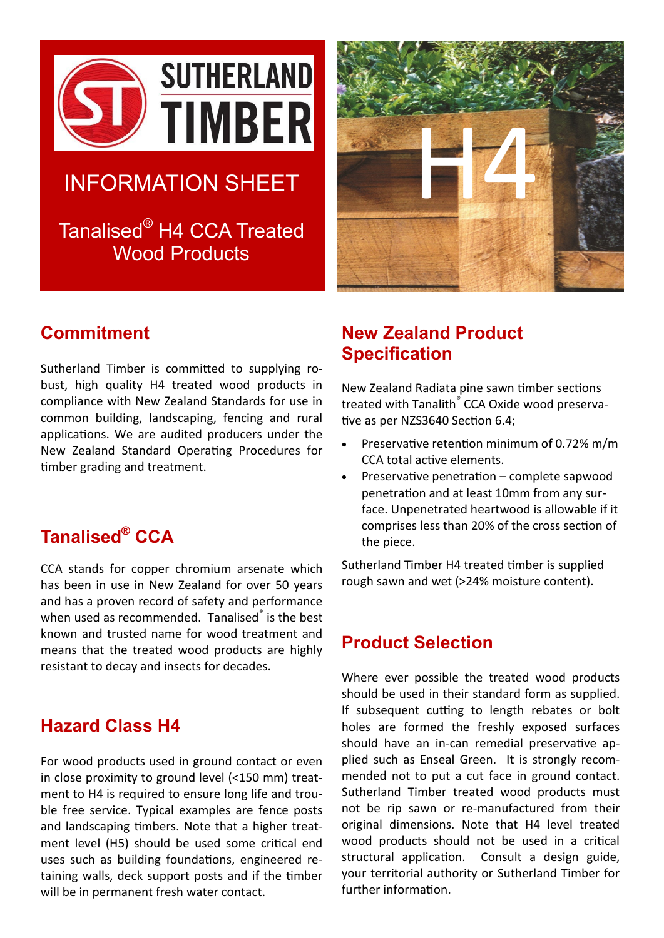

# INFORMATION SHEET

Tanalised® H4 CCA Treated Wood Products



### **Commitment**

Sutherland Timber is committed to supplying robust, high quality H4 treated wood products in compliance with New Zealand Standards for use in common building, landscaping, fencing and rural applications. We are audited producers under the New Zealand Standard Operating Procedures for timber grading and treatment.

## **Tanalised® CCA**

CCA stands for copper chromium arsenate which has been in use in New Zealand for over 50 years and has a proven record of safety and performance when used as recommended. Tanalised<sup>®</sup> is the best known and trusted name for wood treatment and means that the treated wood products are highly resistant to decay and insects for decades.

#### **Hazard Class H4**

For wood products used in ground contact or even in close proximity to ground level (<150 mm) treatment to H4 is required to ensure long life and trouble free service. Typical examples are fence posts and landscaping timbers. Note that a higher treatment level (H5) should be used some critical end uses such as building foundations, engineered retaining walls, deck support posts and if the timber will be in permanent fresh water contact.

## **New Zealand Product Specification**

New Zealand Radiata pine sawn timber sections treated with Tanalith<sup>®</sup> CCA Oxide wood preservative as per NZS3640 Section 6.4;

- Preservative retention minimum of 0.72% m/m CCA total active elements.
- Preservative penetration complete sapwood penetration and at least 10mm from any surface. Unpenetrated heartwood is allowable if it comprises less than 20% of the cross section of the piece.

Sutherland Timber H4 treated timber is supplied rough sawn and wet (>24% moisture content).

#### **Product Selection**

Where ever possible the treated wood products should be used in their standard form as supplied. If subsequent cutting to length rebates or bolt holes are formed the freshly exposed surfaces should have an in-can remedial preservative applied such as Enseal Green. It is strongly recommended not to put a cut face in ground contact. Sutherland Timber treated wood products must not be rip sawn or re-manufactured from their original dimensions. Note that H4 level treated wood products should not be used in a critical structural application. Consult a design guide, your territorial authority or Sutherland Timber for further information.